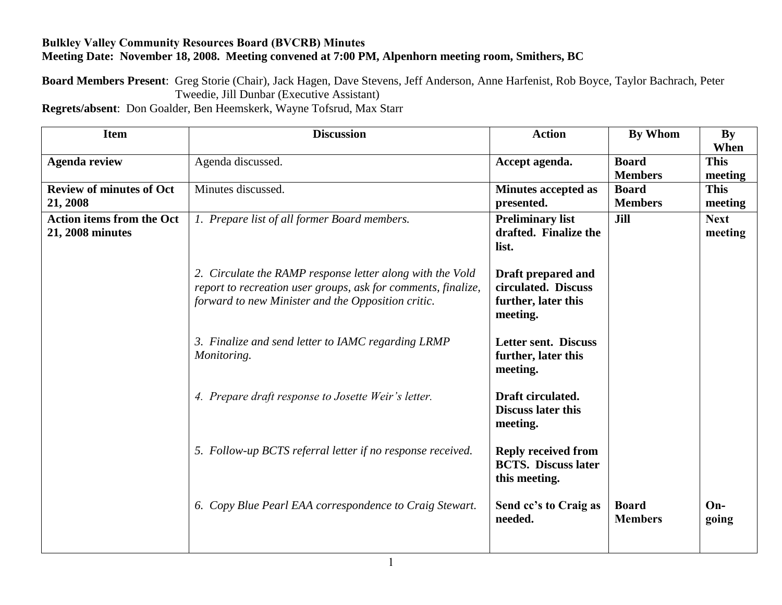## **Bulkley Valley Community Resources Board (BVCRB) Minutes Meeting Date: November 18, 2008. Meeting convened at 7:00 PM, Alpenhorn meeting room, Smithers, BC**

**Board Members Present**: Greg Storie (Chair), Jack Hagen, Dave Stevens, Jeff Anderson, Anne Harfenist, Rob Boyce, Taylor Bachrach, Peter Tweedie, Jill Dunbar (Executive Assistant)

**Regrets/absent**: Don Goalder, Ben Heemskerk, Wayne Tofsrud, Max Starr

| <b>Item</b>                      | <b>Discussion</b>                                                 | <b>Action</b>               | <b>By Whom</b> | By          |
|----------------------------------|-------------------------------------------------------------------|-----------------------------|----------------|-------------|
|                                  |                                                                   |                             |                | When        |
| <b>Agenda review</b>             | Agenda discussed.                                                 | Accept agenda.              | <b>Board</b>   | <b>This</b> |
|                                  |                                                                   |                             | <b>Members</b> | meeting     |
| <b>Review of minutes of Oct</b>  | Minutes discussed.                                                | <b>Minutes accepted as</b>  | <b>Board</b>   | <b>This</b> |
| 21, 2008                         |                                                                   | presented.                  | <b>Members</b> | meeting     |
| <b>Action items from the Oct</b> | 1. Prepare list of all former Board members.                      | <b>Preliminary list</b>     | <b>Jill</b>    | <b>Next</b> |
| 21, 2008 minutes                 |                                                                   | drafted. Finalize the       |                | meeting     |
|                                  |                                                                   | list.                       |                |             |
|                                  |                                                                   |                             |                |             |
|                                  | 2. Circulate the RAMP response letter along with the Vold         | Draft prepared and          |                |             |
|                                  | report to recreation user groups, ask for comments, finalize,     | circulated. Discuss         |                |             |
|                                  | forward to new Minister and the Opposition critic.                | further, later this         |                |             |
|                                  |                                                                   | meeting.                    |                |             |
|                                  |                                                                   | <b>Letter sent. Discuss</b> |                |             |
|                                  | 3. Finalize and send letter to IAMC regarding LRMP<br>Monitoring. | further, later this         |                |             |
|                                  |                                                                   | meeting.                    |                |             |
|                                  |                                                                   |                             |                |             |
|                                  | 4. Prepare draft response to Josette Weir's letter.               | Draft circulated.           |                |             |
|                                  |                                                                   | <b>Discuss later this</b>   |                |             |
|                                  |                                                                   | meeting.                    |                |             |
|                                  |                                                                   |                             |                |             |
|                                  | 5. Follow-up BCTS referral letter if no response received.        | <b>Reply received from</b>  |                |             |
|                                  |                                                                   | <b>BCTS.</b> Discuss later  |                |             |
|                                  |                                                                   | this meeting.               |                |             |
|                                  |                                                                   |                             |                |             |
|                                  | 6. Copy Blue Pearl EAA correspondence to Craig Stewart.           | Send cc's to Craig as       | <b>Board</b>   | $On-$       |
|                                  |                                                                   | needed.                     | <b>Members</b> | going       |
|                                  |                                                                   |                             |                |             |
|                                  |                                                                   |                             |                |             |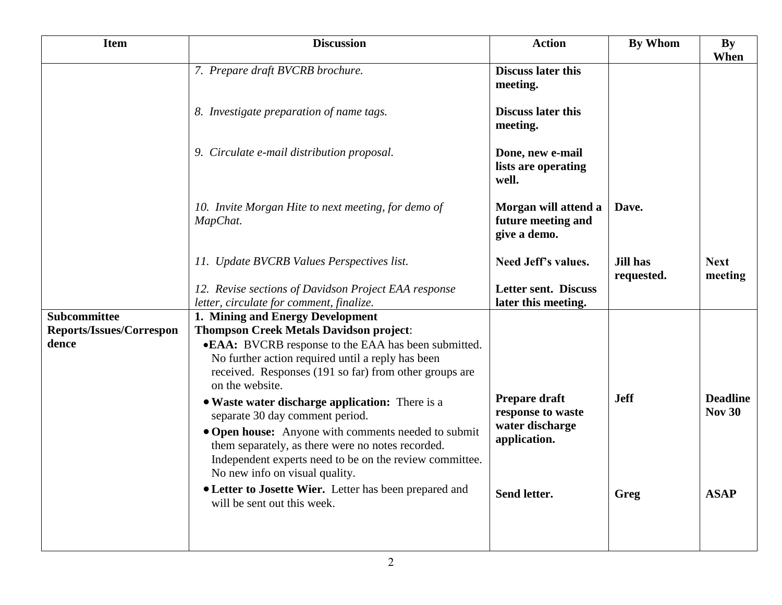| <b>Item</b>                     | <b>Discussion</b>                                                                                                                                                                                     | <b>Action</b>                                                         | <b>By Whom</b>                | <b>By</b><br>When                |
|---------------------------------|-------------------------------------------------------------------------------------------------------------------------------------------------------------------------------------------------------|-----------------------------------------------------------------------|-------------------------------|----------------------------------|
|                                 | 7. Prepare draft BVCRB brochure.                                                                                                                                                                      | <b>Discuss later this</b><br>meeting.                                 |                               |                                  |
|                                 | 8. Investigate preparation of name tags.                                                                                                                                                              | <b>Discuss later this</b><br>meeting.                                 |                               |                                  |
|                                 | 9. Circulate e-mail distribution proposal.                                                                                                                                                            | Done, new e-mail<br>lists are operating<br>well.                      |                               |                                  |
|                                 | 10. Invite Morgan Hite to next meeting, for demo of<br>MapChat.                                                                                                                                       | Morgan will attend a<br>future meeting and<br>give a demo.            | Dave.                         |                                  |
|                                 | 11. Update BVCRB Values Perspectives list.                                                                                                                                                            | Need Jeff's values.                                                   | <b>Jill has</b><br>requested. | <b>Next</b><br>meeting           |
|                                 | 12. Revise sections of Davidson Project EAA response<br>letter, circulate for comment, finalize.                                                                                                      | Letter sent. Discuss<br>later this meeting.                           |                               |                                  |
| <b>Subcommittee</b>             | 1. Mining and Energy Development                                                                                                                                                                      |                                                                       |                               |                                  |
| <b>Reports/Issues/Correspon</b> | <b>Thompson Creek Metals Davidson project:</b>                                                                                                                                                        |                                                                       |                               |                                  |
| dence                           | •EAA: BVCRB response to the EAA has been submitted.<br>No further action required until a reply has been<br>received. Responses (191 so far) from other groups are<br>on the website.                 |                                                                       |                               |                                  |
|                                 | • Waste water discharge application: There is a<br>separate 30 day comment period.                                                                                                                    | Prepare draft<br>response to waste<br>water discharge<br>application. | <b>Jeff</b>                   | <b>Deadline</b><br><b>Nov 30</b> |
|                                 | • Open house: Anyone with comments needed to submit<br>them separately, as there were no notes recorded.<br>Independent experts need to be on the review committee.<br>No new info on visual quality. |                                                                       |                               |                                  |
|                                 | • Letter to Josette Wier. Letter has been prepared and<br>will be sent out this week.                                                                                                                 | Send letter.                                                          | Greg                          | <b>ASAP</b>                      |
|                                 |                                                                                                                                                                                                       |                                                                       |                               |                                  |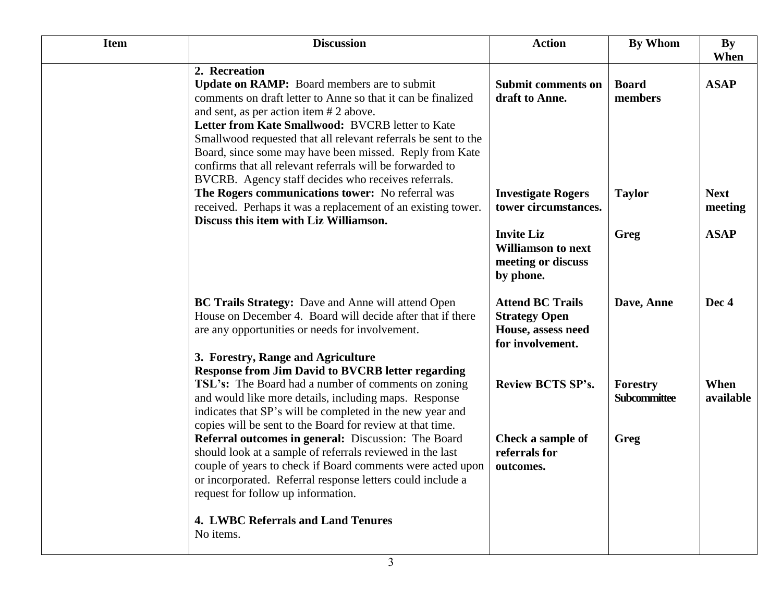| <b>Item</b> | <b>Discussion</b>                                                                                                                                                                                                                                                                                                                                                                                                                                                                   | <b>Action</b>                                                                             | <b>By Whom</b>                  | <b>By</b><br>When      |
|-------------|-------------------------------------------------------------------------------------------------------------------------------------------------------------------------------------------------------------------------------------------------------------------------------------------------------------------------------------------------------------------------------------------------------------------------------------------------------------------------------------|-------------------------------------------------------------------------------------------|---------------------------------|------------------------|
|             | 2. Recreation<br><b>Update on RAMP:</b> Board members are to submit<br>comments on draft letter to Anne so that it can be finalized<br>and sent, as per action item # 2 above.<br>Letter from Kate Smallwood: BVCRB letter to Kate<br>Smallwood requested that all relevant referrals be sent to the<br>Board, since some may have been missed. Reply from Kate<br>confirms that all relevant referrals will be forwarded to<br>BVCRB. Agency staff decides who receives referrals. | <b>Submit comments on</b><br>draft to Anne.                                               | <b>Board</b><br>members         | <b>ASAP</b>            |
|             | The Rogers communications tower: No referral was<br>received. Perhaps it was a replacement of an existing tower.<br>Discuss this item with Liz Williamson.                                                                                                                                                                                                                                                                                                                          | <b>Investigate Rogers</b><br>tower circumstances.                                         | <b>Taylor</b>                   | <b>Next</b><br>meeting |
|             |                                                                                                                                                                                                                                                                                                                                                                                                                                                                                     | <b>Invite Liz</b><br><b>Williamson to next</b><br>meeting or discuss<br>by phone.         | Greg                            | <b>ASAP</b>            |
|             | <b>BC Trails Strategy:</b> Dave and Anne will attend Open<br>House on December 4. Board will decide after that if there<br>are any opportunities or needs for involvement.                                                                                                                                                                                                                                                                                                          | <b>Attend BC Trails</b><br><b>Strategy Open</b><br>House, assess need<br>for involvement. | Dave, Anne                      | Dec 4                  |
|             | 3. Forestry, Range and Agriculture                                                                                                                                                                                                                                                                                                                                                                                                                                                  |                                                                                           |                                 |                        |
|             | <b>Response from Jim David to BVCRB letter regarding</b><br><b>TSL's:</b> The Board had a number of comments on zoning<br>and would like more details, including maps. Response<br>indicates that SP's will be completed in the new year and<br>copies will be sent to the Board for review at that time.                                                                                                                                                                           | <b>Review BCTS SP's.</b>                                                                  | Forestry<br><b>Subcommittee</b> | When<br>available      |
|             | <b>Referral outcomes in general:</b> Discussion: The Board<br>should look at a sample of referrals reviewed in the last<br>couple of years to check if Board comments were acted upon<br>or incorporated. Referral response letters could include a<br>request for follow up information.                                                                                                                                                                                           | Check a sample of<br>referrals for<br>outcomes.                                           | Greg                            |                        |
|             | <b>4. LWBC Referrals and Land Tenures</b><br>No items.                                                                                                                                                                                                                                                                                                                                                                                                                              |                                                                                           |                                 |                        |